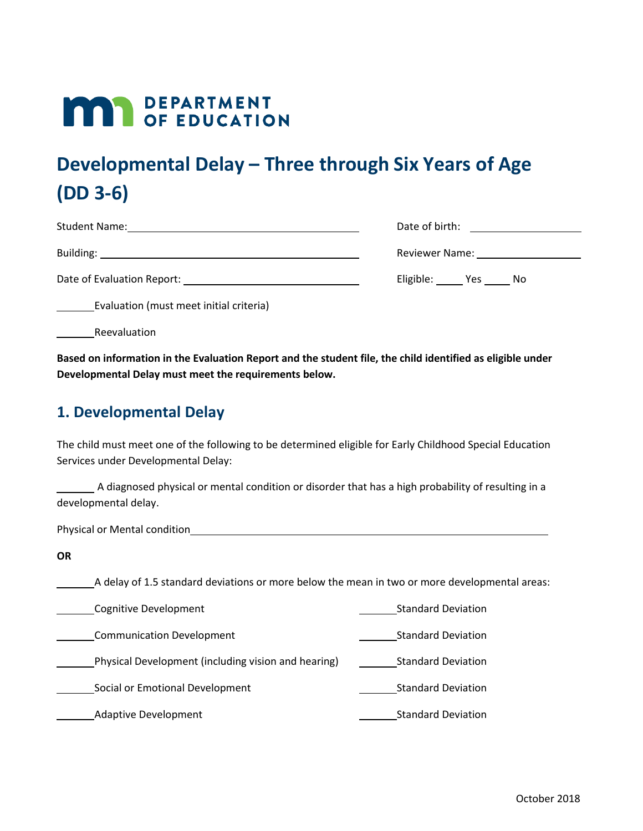# **MAR** DEPARTMENT

## **Developmental Delay – Three through Six Years of Age (DD 3-6)**

| <b>Student Name:</b>       | Date of birth:         |
|----------------------------|------------------------|
| Building:                  | Reviewer Name:         |
| Date of Evaluation Report: | Eligible:<br>Yes<br>No |

Evaluation (must meet initial criteria)

Reevaluation

**Based on information in the Evaluation Report and the student file, the child identified as eligible under Developmental Delay must meet the requirements below.** 

#### **1. Developmental Delay**

The child must meet one of the following to be determined eligible for Early Childhood Special Education Services under Developmental Delay:

A diagnosed physical or mental condition or disorder that has a high probability of resulting in a developmental delay.

Physical or Mental condition<br>
<u>Final</u>

**OR** 

A delay of 1.5 standard deviations or more below the mean in two or more developmental areas:

Cognitive Development Contract Contract Contract Contract Contract Contract Contract Contract Contract Contract Contract Contract Contract Contract Contract Contract Contract Contract Contract Contract Contract Contract Co

Communication Development **Standard Deviation** Communication Development

**Number 2** Physical Development (including vision and hearing) **Comber 2** Standard Deviation

Social or Emotional Development Standard Deviation

Adaptive Development **Standard Deviation** Standard Deviation